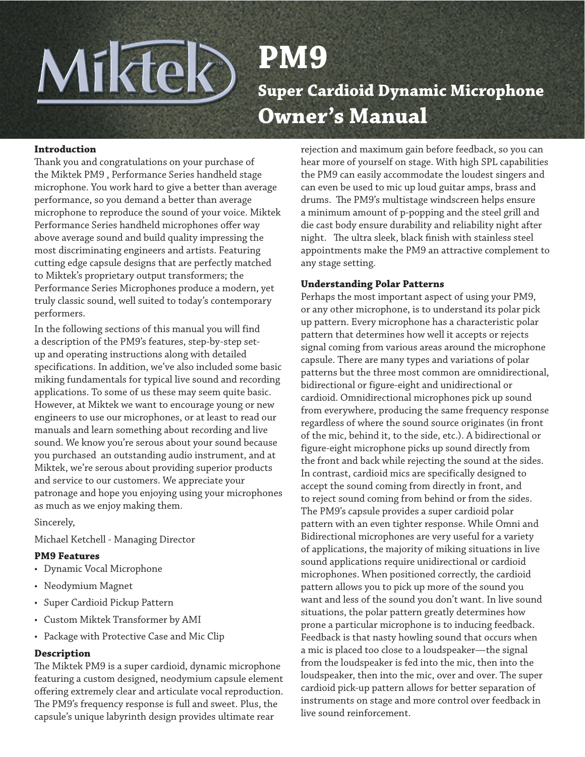# Miktek **PM9 Super Cardioid Dynamic Microphone Owner's Manual**

#### **Introduction**

Thank you and congratulations on your purchase of the Miktek PM9 , Performance Series handheld stage microphone. You work hard to give a better than average performance, so you demand a better than average microphone to reproduce the sound of your voice. Miktek Performance Series handheld microphones offer way above average sound and build quality impressing the most discriminating engineers and artists. Featuring cutting edge capsule designs that are perfectly matched to Miktek's proprietary output transformers; the Performance Series Microphones produce a modern, yet truly classic sound, well suited to today's contemporary performers.

In the following sections of this manual you will find a description of the PM9's features, step-by-step setup and operating instructions along with detailed specifications. In addition, we've also included some basic miking fundamentals for typical live sound and recording applications. To some of us these may seem quite basic. However, at Miktek we want to encourage young or new engineers to use our microphones, or at least to read our manuals and learn something about recording and live sound. We know you're serous about your sound because you purchased an outstanding audio instrument, and at Miktek, we're serous about providing superior products and service to our customers. We appreciate your patronage and hope you enjoying using your microphones as much as we enjoy making them.

Sincerely,

Michael Ketchell - Managing Director

#### **PM9 Features**

- • Dynamic Vocal Microphone
- Neodymium Magnet
- Super Cardioid Pickup Pattern
- Custom Miktek Transformer by AMI
- Package with Protective Case and Mic Clip

#### **Description**

The Miktek PM9 is a super cardioid, dynamic microphone featuring a custom designed, neodymium capsule element offering extremely clear and articulate vocal reproduction. The PM9's frequency response is full and sweet. Plus, the capsule's unique labyrinth design provides ultimate rear

rejection and maximum gain before feedback, so you can hear more of yourself on stage. With high SPL capabilities the PM9 can easily accommodate the loudest singers and can even be used to mic up loud guitar amps, brass and drums. The PM9's multistage windscreen helps ensure a minimum amount of p-popping and the steel grill and die cast body ensure durability and reliability night after night. The ultra sleek, black finish with stainless steel appointments make the PM9 an attractive complement to any stage setting.

#### **Understanding Polar Patterns**

Perhaps the most important aspect of using your PM9, or any other microphone, is to understand its polar pick up pattern. Every microphone has a characteristic polar pattern that determines how well it accepts or rejects signal coming from various areas around the microphone capsule. There are many types and variations of polar patterns but the three most common are omnidirectional, bidirectional or figure-eight and unidirectional or cardioid. Omnidirectional microphones pick up sound from everywhere, producing the same frequency response regardless of where the sound source originates (in front of the mic, behind it, to the side, etc.). A bidirectional or figure-eight microphone picks up sound directly from the front and back while rejecting the sound at the sides. In contrast, cardioid mics are specifically designed to accept the sound coming from directly in front, and to reject sound coming from behind or from the sides. The PM9's capsule provides a super cardioid polar pattern with an even tighter response. While Omni and Bidirectional microphones are very useful for a variety of applications, the majority of miking situations in live sound applications require unidirectional or cardioid microphones. When positioned correctly, the cardioid pattern allows you to pick up more of the sound you want and less of the sound you don't want. In live sound situations, the polar pattern greatly determines how prone a particular microphone is to inducing feedback. Feedback is that nasty howling sound that occurs when a mic is placed too close to a loudspeaker—the signal from the loudspeaker is fed into the mic, then into the loudspeaker, then into the mic, over and over. The super cardioid pick-up pattern allows for better separation of instruments on stage and more control over feedback in live sound reinforcement.